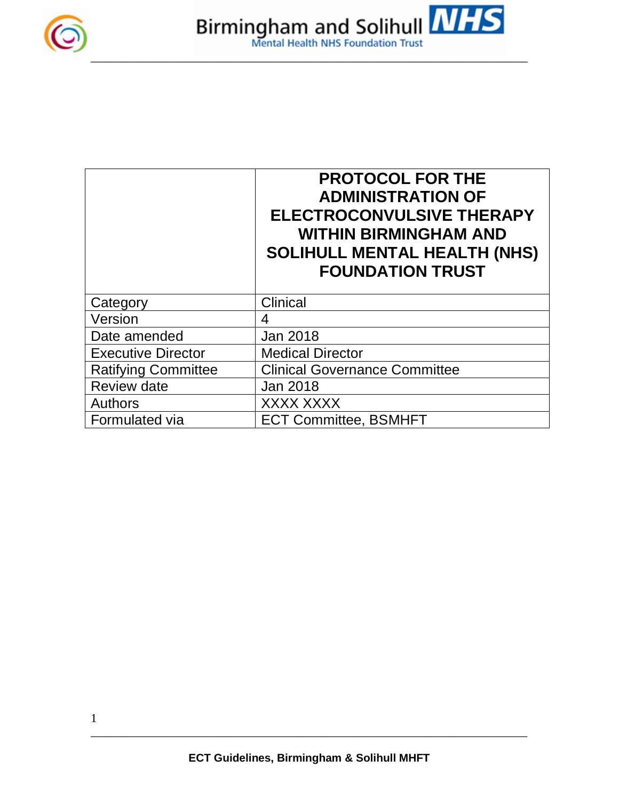

|                            | <b>PROTOCOL FOR THE</b><br><b>ADMINISTRATION OF</b><br><b>ELECTROCONVULSIVE THERAPY</b><br><b>WITHIN BIRMINGHAM AND</b><br><b>SOLIHULL MENTAL HEALTH (NHS)</b><br><b>FOUNDATION TRUST</b> |
|----------------------------|-------------------------------------------------------------------------------------------------------------------------------------------------------------------------------------------|
| Category                   | Clinical                                                                                                                                                                                  |
| Version                    | 4                                                                                                                                                                                         |
| Date amended               | <b>Jan 2018</b>                                                                                                                                                                           |
| <b>Executive Director</b>  | <b>Medical Director</b>                                                                                                                                                                   |
| <b>Ratifying Committee</b> | <b>Clinical Governance Committee</b>                                                                                                                                                      |
| <b>Review date</b>         | Jan 2018                                                                                                                                                                                  |
| <b>Authors</b>             | <b>XXXX XXXX</b>                                                                                                                                                                          |
| Formulated via             | <b>ECT Committee, BSMHFT</b>                                                                                                                                                              |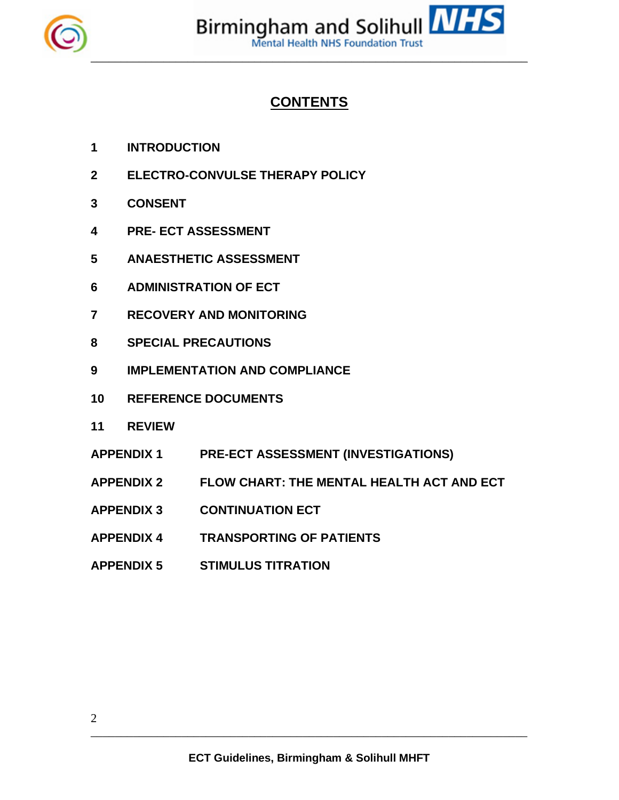

## **CONTENTS**

- **1 INTRODUCTION**
- **2 ELECTRO-CONVULSE THERAPY POLICY**
- **3 CONSENT**
- **4 PRE- ECT ASSESSMENT**
- **5 ANAESTHETIC ASSESSMENT**
- **6 ADMINISTRATION OF ECT**
- **7 RECOVERY AND MONITORING**
- **8 SPECIAL PRECAUTIONS**
- **9 IMPLEMENTATION AND COMPLIANCE**
- **10 REFERENCE DOCUMENTS**
- **11 REVIEW**
- **APPENDIX 1 PRE-ECT ASSESSMENT (INVESTIGATIONS)**
- **APPENDIX 2 FLOW CHART: THE MENTAL HEALTH ACT AND ECT**
- **APPENDIX 3 CONTINUATION ECT**
- **APPENDIX 4 TRANSPORTING OF PATIENTS**
- **APPENDIX 5 STIMULUS TITRATION**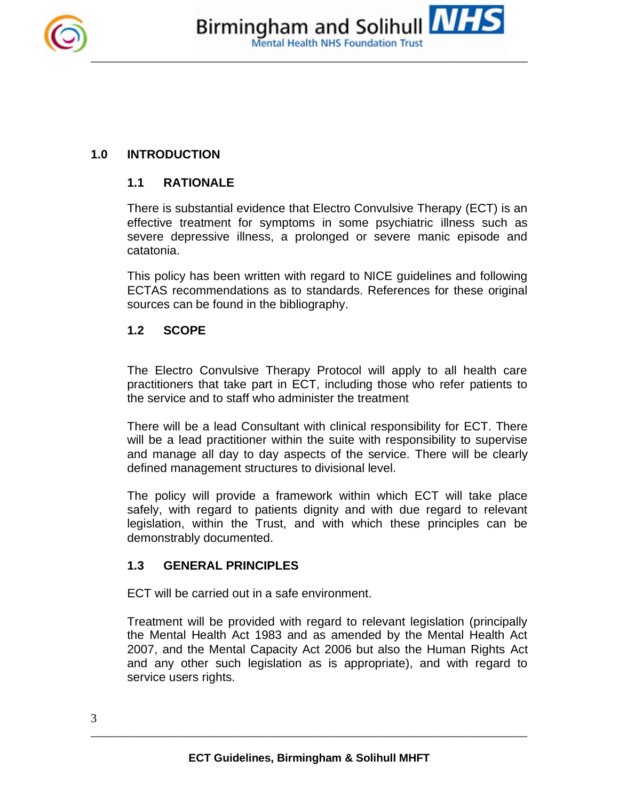

## **1.0 INTRODUCTION**

#### **1.1 RATIONALE**

There is substantial evidence that Electro Convulsive Therapy (ECT) is an effective treatment for symptoms in some psychiatric illness such as severe depressive illness, a prolonged or severe manic episode and catatonia.

This policy has been written with regard to NICE guidelines and following ECTAS recommendations as to standards. References for these original sources can be found in the bibliography.

#### **1.2 SCOPE**

The Electro Convulsive Therapy Protocol will apply to all health care practitioners that take part in ECT, including those who refer patients to the service and to staff who administer the treatment

There will be a lead Consultant with clinical responsibility for ECT. There will be a lead practitioner within the suite with responsibility to supervise and manage all day to day aspects of the service. There will be clearly defined management structures to divisional level.

The policy will provide a framework within which ECT will take place safely, with regard to patients dignity and with due regard to relevant legislation, within the Trust, and with which these principles can be demonstrably documented.

#### **1.3 GENERAL PRINCIPLES**

ECT will be carried out in a safe environment.

Treatment will be provided with regard to relevant legislation (principally the Mental Health Act 1983 and as amended by the Mental Health Act 2007, and the Mental Capacity Act 2006 but also the Human Rights Act and any other such legislation as is appropriate), and with regard to service users rights.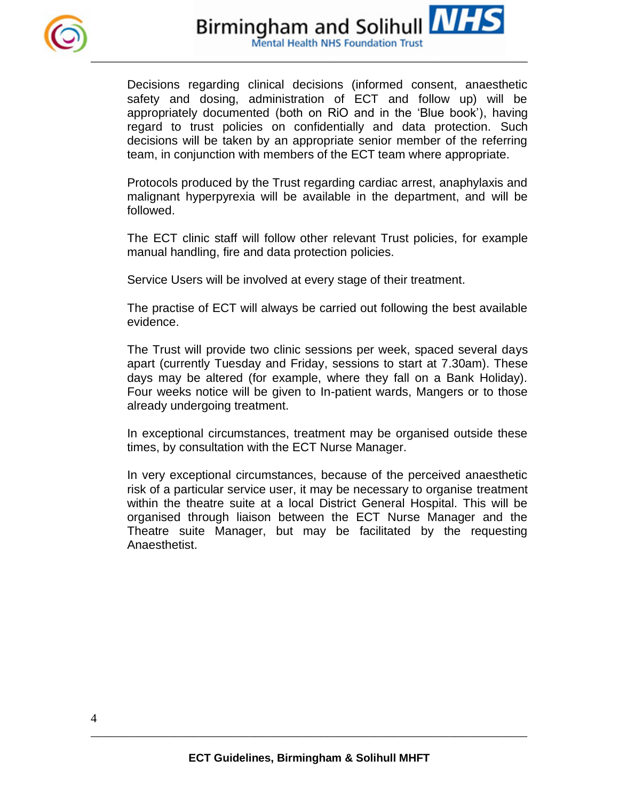

# Birmingham and Solihull **NIT Mental Health NHS Foundation Trust**

Decisions regarding clinical decisions (informed consent, anaesthetic safety and dosing, administration of ECT and follow up) will be appropriately documented (both on RiO and in the 'Blue book'), having regard to trust policies on confidentially and data protection. Such decisions will be taken by an appropriate senior member of the referring team, in conjunction with members of the ECT team where appropriate.

Protocols produced by the Trust regarding cardiac arrest, anaphylaxis and malignant hyperpyrexia will be available in the department, and will be followed.

The ECT clinic staff will follow other relevant Trust policies, for example manual handling, fire and data protection policies.

Service Users will be involved at every stage of their treatment.

The practise of ECT will always be carried out following the best available evidence.

The Trust will provide two clinic sessions per week, spaced several days apart (currently Tuesday and Friday, sessions to start at 7.30am). These days may be altered (for example, where they fall on a Bank Holiday). Four weeks notice will be given to In-patient wards, Mangers or to those already undergoing treatment.

In exceptional circumstances, treatment may be organised outside these times, by consultation with the ECT Nurse Manager.

In very exceptional circumstances, because of the perceived anaesthetic risk of a particular service user, it may be necessary to organise treatment within the theatre suite at a local District General Hospital. This will be organised through liaison between the ECT Nurse Manager and the Theatre suite Manager, but may be facilitated by the requesting Anaesthetist.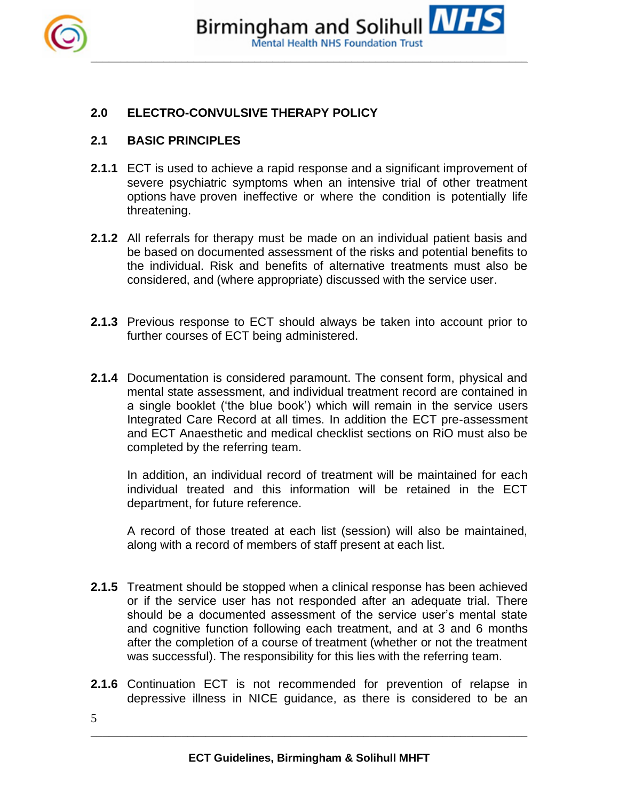

## **2.0 ELECTRO-CONVULSIVE THERAPY POLICY**

#### **2.1 BASIC PRINCIPLES**

- **2.1.1** ECT is used to achieve a rapid response and a significant improvement of severe psychiatric symptoms when an intensive trial of other treatment options have proven ineffective or where the condition is potentially life threatening.
- **2.1.2** All referrals for therapy must be made on an individual patient basis and be based on documented assessment of the risks and potential benefits to the individual. Risk and benefits of alternative treatments must also be considered, and (where appropriate) discussed with the service user.
- **2.1.3** Previous response to ECT should always be taken into account prior to further courses of ECT being administered.
- **2.1.4** Documentation is considered paramount. The consent form, physical and mental state assessment, and individual treatment record are contained in a single booklet ('the blue book') which will remain in the service users Integrated Care Record at all times. In addition the ECT pre-assessment and ECT Anaesthetic and medical checklist sections on RiO must also be completed by the referring team.

In addition, an individual record of treatment will be maintained for each individual treated and this information will be retained in the ECT department, for future reference.

A record of those treated at each list (session) will also be maintained, along with a record of members of staff present at each list.

- **2.1.5** Treatment should be stopped when a clinical response has been achieved or if the service user has not responded after an adequate trial. There should be a documented assessment of the service user's mental state and cognitive function following each treatment, and at 3 and 6 months after the completion of a course of treatment (whether or not the treatment was successful). The responsibility for this lies with the referring team.
- **2.1.6** Continuation ECT is not recommended for prevention of relapse in depressive illness in NICE guidance, as there is considered to be an
- 5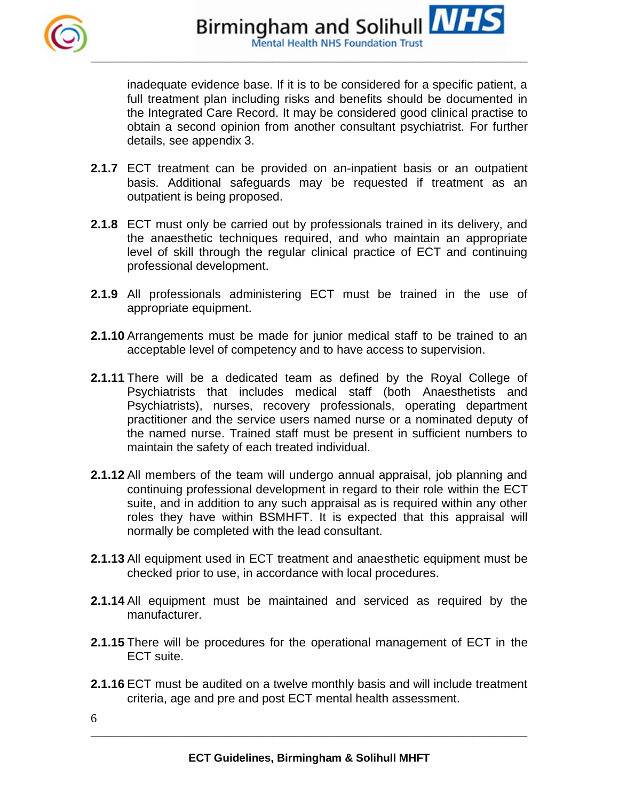

inadequate evidence base. If it is to be considered for a specific patient, a full treatment plan including risks and benefits should be documented in the Integrated Care Record. It may be considered good clinical practise to obtain a second opinion from another consultant psychiatrist. For further details, see appendix 3.

- **2.1.7** ECT treatment can be provided on an-inpatient basis or an outpatient basis. Additional safeguards may be requested if treatment as an outpatient is being proposed.
- **2.1.8** ECT must only be carried out by professionals trained in its delivery, and the anaesthetic techniques required, and who maintain an appropriate level of skill through the regular clinical practice of ECT and continuing professional development.
- **2.1.9** All professionals administering ECT must be trained in the use of appropriate equipment.
- **2.1.10** Arrangements must be made for junior medical staff to be trained to an acceptable level of competency and to have access to supervision.
- **2.1.11** There will be a dedicated team as defined by the Royal College of Psychiatrists that includes medical staff (both Anaesthetists and Psychiatrists), nurses, recovery professionals, operating department practitioner and the service users named nurse or a nominated deputy of the named nurse. Trained staff must be present in sufficient numbers to maintain the safety of each treated individual.
- **2.1.12** All members of the team will undergo annual appraisal, job planning and continuing professional development in regard to their role within the ECT suite, and in addition to any such appraisal as is required within any other roles they have within BSMHFT. It is expected that this appraisal will normally be completed with the lead consultant.
- **2.1.13** All equipment used in ECT treatment and anaesthetic equipment must be checked prior to use, in accordance with local procedures.
- **2.1.14** All equipment must be maintained and serviced as required by the manufacturer.
- **2.1.15** There will be procedures for the operational management of ECT in the ECT suite.
- **2.1.16** ECT must be audited on a twelve monthly basis and will include treatment criteria, age and pre and post ECT mental health assessment.

6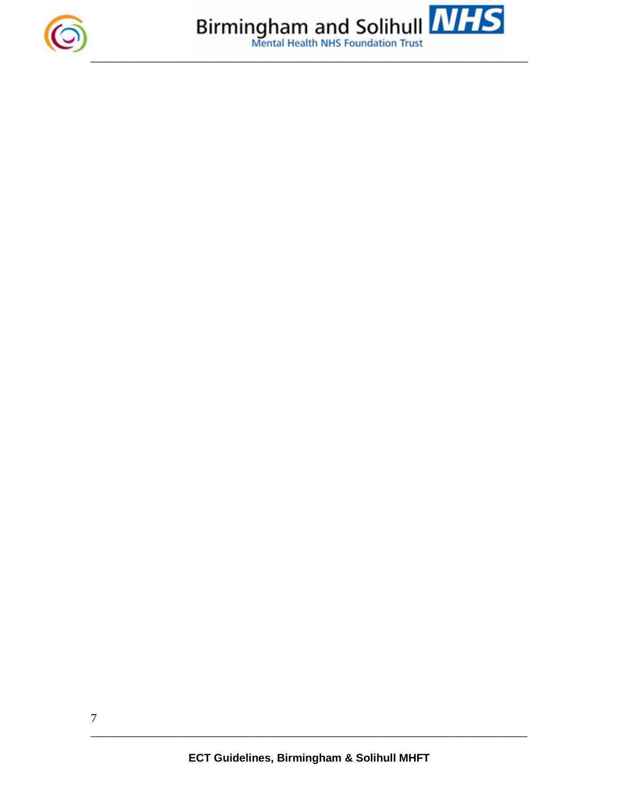

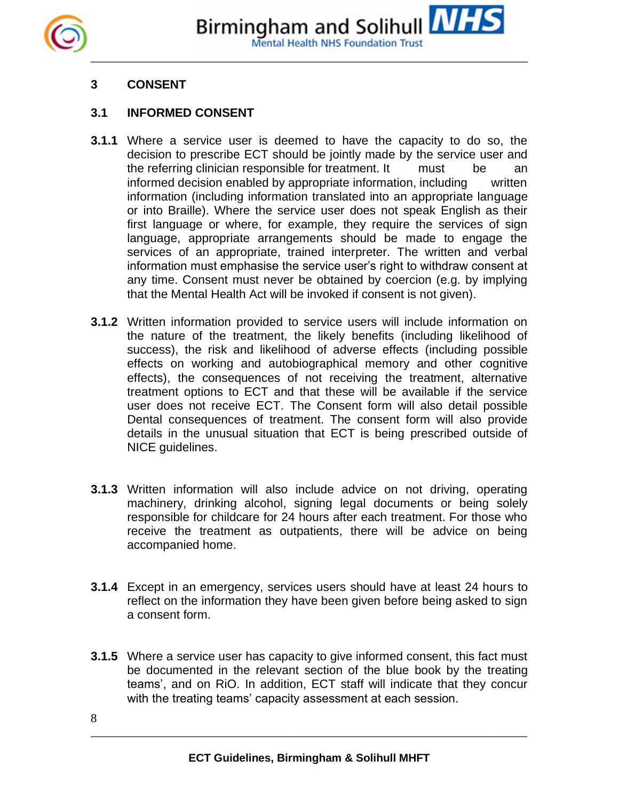

## **3 CONSENT**

### **3.1 INFORMED CONSENT**

- **3.1.1** Where a service user is deemed to have the capacity to do so, the decision to prescribe ECT should be jointly made by the service user and the referring clinician responsible for treatment. It must be an informed decision enabled by appropriate information, including written information (including information translated into an appropriate language or into Braille). Where the service user does not speak English as their first language or where, for example, they require the services of sign language, appropriate arrangements should be made to engage the services of an appropriate, trained interpreter. The written and verbal information must emphasise the service user's right to withdraw consent at any time. Consent must never be obtained by coercion (e.g. by implying that the Mental Health Act will be invoked if consent is not given).
- **3.1.2** Written information provided to service users will include information on the nature of the treatment, the likely benefits (including likelihood of success), the risk and likelihood of adverse effects (including possible effects on working and autobiographical memory and other cognitive effects), the consequences of not receiving the treatment, alternative treatment options to ECT and that these will be available if the service user does not receive ECT. The Consent form will also detail possible Dental consequences of treatment. The consent form will also provide details in the unusual situation that ECT is being prescribed outside of NICE guidelines.
- **3.1.3** Written information will also include advice on not driving, operating machinery, drinking alcohol, signing legal documents or being solely responsible for childcare for 24 hours after each treatment. For those who receive the treatment as outpatients, there will be advice on being accompanied home.
- **3.1.4** Except in an emergency, services users should have at least 24 hours to reflect on the information they have been given before being asked to sign a consent form.
- **3.1.5** Where a service user has capacity to give informed consent, this fact must be documented in the relevant section of the blue book by the treating teams', and on RiO. In addition, ECT staff will indicate that they concur with the treating teams' capacity assessment at each session.

8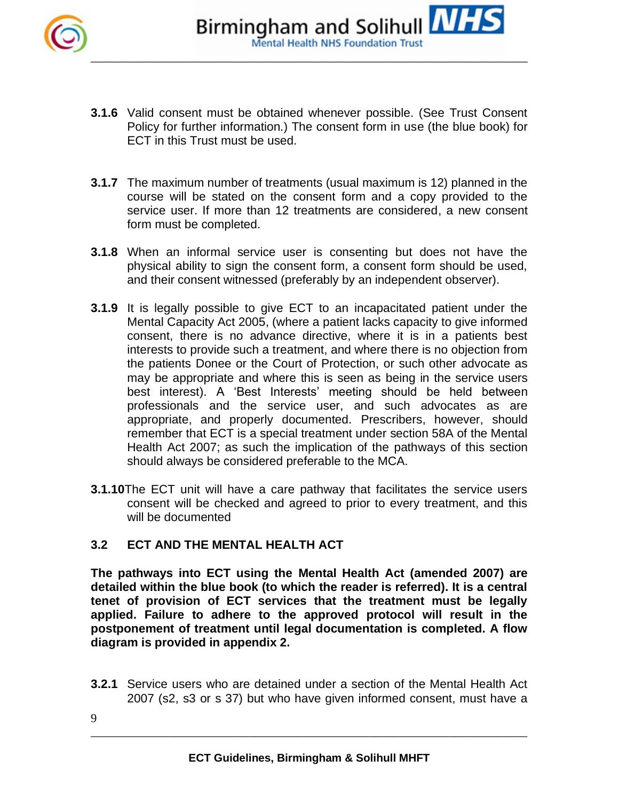

- **3.1.6** Valid consent must be obtained whenever possible. (See Trust Consent Policy for further information.) The consent form in use (the blue book) for ECT in this Trust must be used.
- **3.1.7** The maximum number of treatments (usual maximum is 12) planned in the course will be stated on the consent form and a copy provided to the service user. If more than 12 treatments are considered, a new consent form must be completed.
- **3.1.8** When an informal service user is consenting but does not have the physical ability to sign the consent form, a consent form should be used, and their consent witnessed (preferably by an independent observer).
- **3.1.9** It is legally possible to give ECT to an incapacitated patient under the Mental Capacity Act 2005, (where a patient lacks capacity to give informed consent, there is no advance directive, where it is in a patients best interests to provide such a treatment, and where there is no objection from the patients Donee or the Court of Protection, or such other advocate as may be appropriate and where this is seen as being in the service users best interest). A 'Best Interests' meeting should be held between professionals and the service user, and such advocates as are appropriate, and properly documented. Prescribers, however, should remember that ECT is a special treatment under section 58A of the Mental Health Act 2007; as such the implication of the pathways of this section should always be considered preferable to the MCA.
- **3.1.10**The ECT unit will have a care pathway that facilitates the service users consent will be checked and agreed to prior to every treatment, and this will be documented

## **3.2 ECT AND THE MENTAL HEALTH ACT**

**The pathways into ECT using the Mental Health Act (amended 2007) are detailed within the blue book (to which the reader is referred). It is a central tenet of provision of ECT services that the treatment must be legally applied. Failure to adhere to the approved protocol will result in the postponement of treatment until legal documentation is completed. A flow diagram is provided in appendix 2.**

- **3.2.1** Service users who are detained under a section of the Mental Health Act 2007 (s2, s3 or s 37) but who have given informed consent, must have a
- 9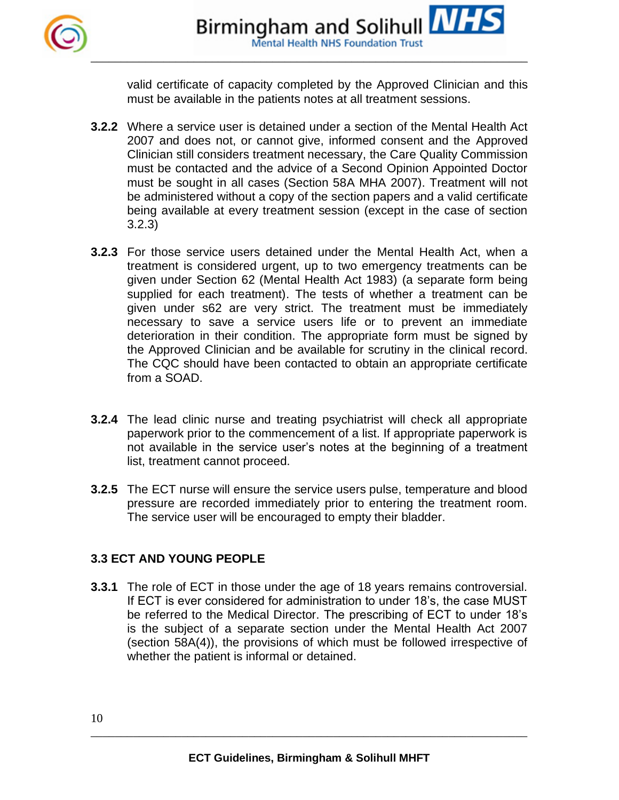

valid certificate of capacity completed by the Approved Clinician and this must be available in the patients notes at all treatment sessions.

- **3.2.2** Where a service user is detained under a section of the Mental Health Act 2007 and does not, or cannot give, informed consent and the Approved Clinician still considers treatment necessary, the Care Quality Commission must be contacted and the advice of a Second Opinion Appointed Doctor must be sought in all cases (Section 58A MHA 2007). Treatment will not be administered without a copy of the section papers and a valid certificate being available at every treatment session (except in the case of section 3.2.3)
- **3.2.3** For those service users detained under the Mental Health Act, when a treatment is considered urgent, up to two emergency treatments can be given under Section 62 (Mental Health Act 1983) (a separate form being supplied for each treatment). The tests of whether a treatment can be given under s62 are very strict. The treatment must be immediately necessary to save a service users life or to prevent an immediate deterioration in their condition. The appropriate form must be signed by the Approved Clinician and be available for scrutiny in the clinical record. The CQC should have been contacted to obtain an appropriate certificate from a SOAD.
- **3.2.4** The lead clinic nurse and treating psychiatrist will check all appropriate paperwork prior to the commencement of a list. If appropriate paperwork is not available in the service user's notes at the beginning of a treatment list, treatment cannot proceed.
- **3.2.5** The ECT nurse will ensure the service users pulse, temperature and blood pressure are recorded immediately prior to entering the treatment room. The service user will be encouraged to empty their bladder.

## **3.3 ECT AND YOUNG PEOPLE**

**3.3.1** The role of ECT in those under the age of 18 years remains controversial. If ECT is ever considered for administration to under 18's, the case MUST be referred to the Medical Director. The prescribing of ECT to under 18's is the subject of a separate section under the Mental Health Act 2007 (section 58A(4)), the provisions of which must be followed irrespective of whether the patient is informal or detained.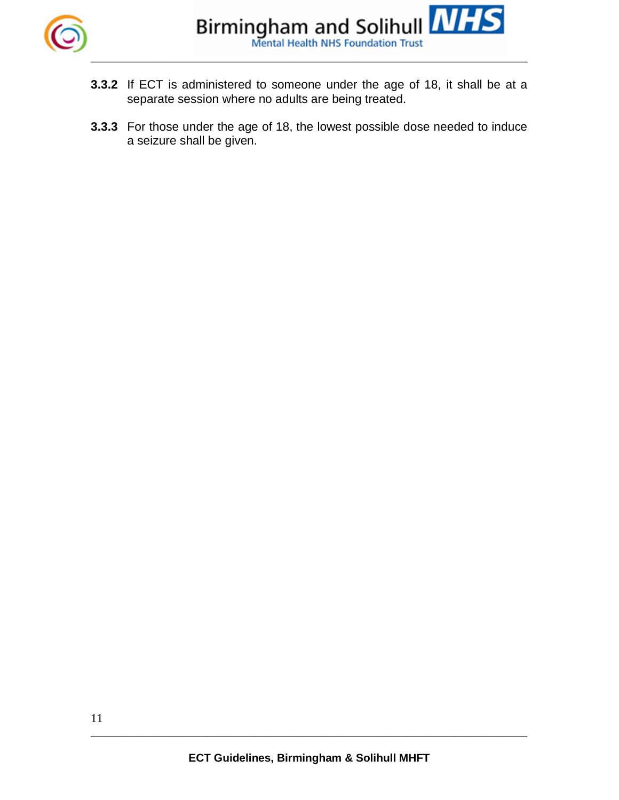

- **3.3.2** If ECT is administered to someone under the age of 18, it shall be at a separate session where no adults are being treated.
- **3.3.3** For those under the age of 18, the lowest possible dose needed to induce a seizure shall be given.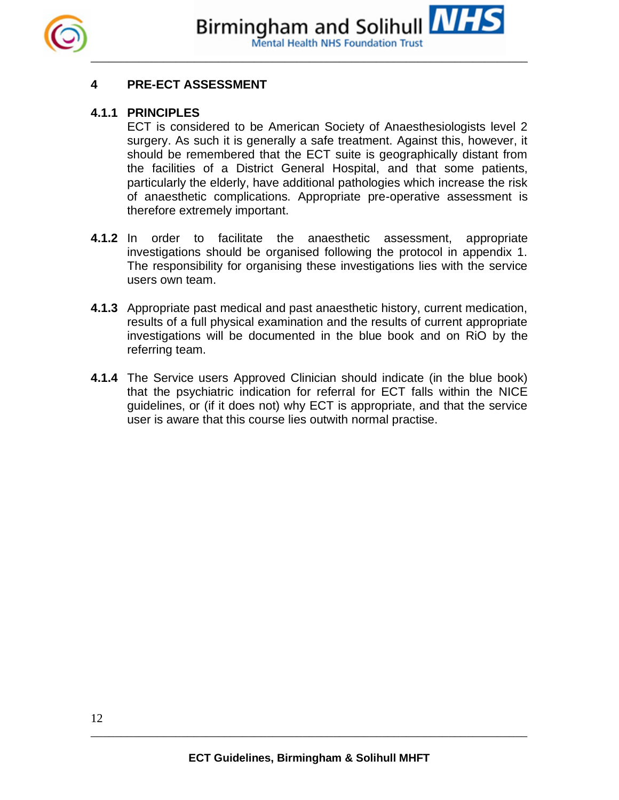

### **4 PRE-ECT ASSESSMENT**

#### **4.1.1 PRINCIPLES**

ECT is considered to be American Society of Anaesthesiologists level 2 surgery. As such it is generally a safe treatment. Against this, however, it should be remembered that the ECT suite is geographically distant from the facilities of a District General Hospital, and that some patients, particularly the elderly, have additional pathologies which increase the risk of anaesthetic complications. Appropriate pre-operative assessment is therefore extremely important.

- **4.1.2** In order to facilitate the anaesthetic assessment, appropriate investigations should be organised following the protocol in appendix 1. The responsibility for organising these investigations lies with the service users own team.
- **4.1.3** Appropriate past medical and past anaesthetic history, current medication, results of a full physical examination and the results of current appropriate investigations will be documented in the blue book and on RiO by the referring team.
- **4.1.4** The Service users Approved Clinician should indicate (in the blue book) that the psychiatric indication for referral for ECT falls within the NICE guidelines, or (if it does not) why ECT is appropriate, and that the service user is aware that this course lies outwith normal practise.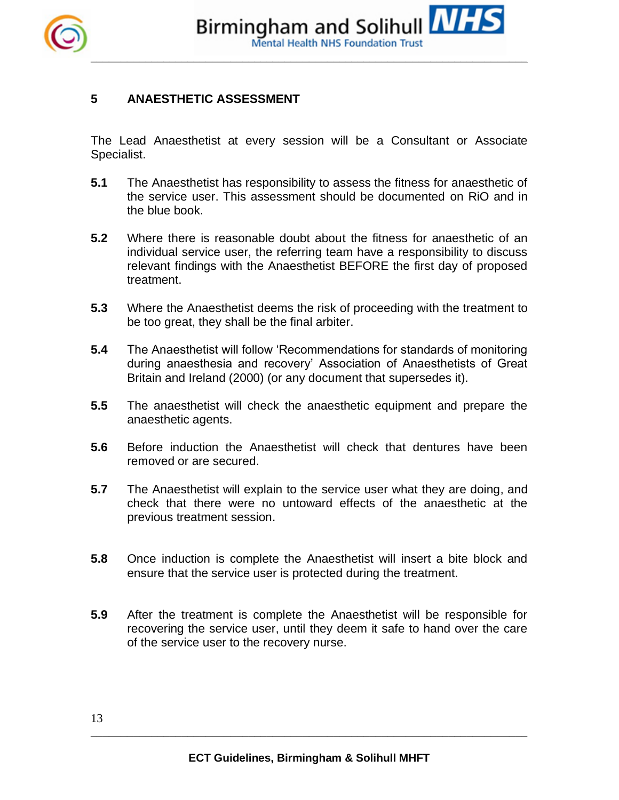

## **5 ANAESTHETIC ASSESSMENT**

The Lead Anaesthetist at every session will be a Consultant or Associate Specialist.

- **5.1** The Anaesthetist has responsibility to assess the fitness for anaesthetic of the service user. This assessment should be documented on RiO and in the blue book.
- **5.2** Where there is reasonable doubt about the fitness for anaesthetic of an individual service user, the referring team have a responsibility to discuss relevant findings with the Anaesthetist BEFORE the first day of proposed treatment.
- **5.3** Where the Anaesthetist deems the risk of proceeding with the treatment to be too great, they shall be the final arbiter.
- **5.4** The Anaesthetist will follow 'Recommendations for standards of monitoring during anaesthesia and recovery' Association of Anaesthetists of Great Britain and Ireland (2000) (or any document that supersedes it).
- **5.5** The anaesthetist will check the anaesthetic equipment and prepare the anaesthetic agents.
- **5.6** Before induction the Anaesthetist will check that dentures have been removed or are secured.
- **5.7** The Anaesthetist will explain to the service user what they are doing, and check that there were no untoward effects of the anaesthetic at the previous treatment session.
- **5.8** Once induction is complete the Anaesthetist will insert a bite block and ensure that the service user is protected during the treatment.
- **5.9** After the treatment is complete the Anaesthetist will be responsible for recovering the service user, until they deem it safe to hand over the care of the service user to the recovery nurse.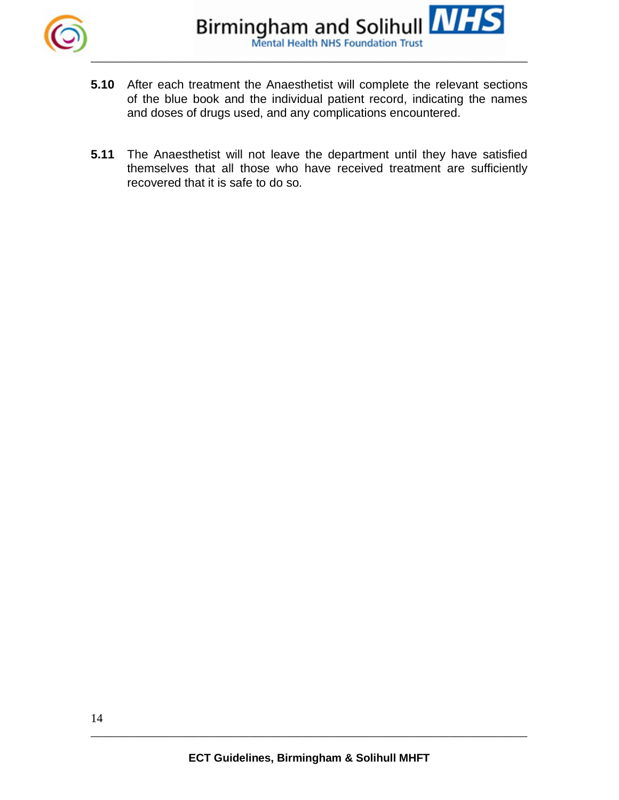

- **5.10** After each treatment the Anaesthetist will complete the relevant sections of the blue book and the individual patient record, indicating the names and doses of drugs used, and any complications encountered.
- **5.11** The Anaesthetist will not leave the department until they have satisfied themselves that all those who have received treatment are sufficiently recovered that it is safe to do so.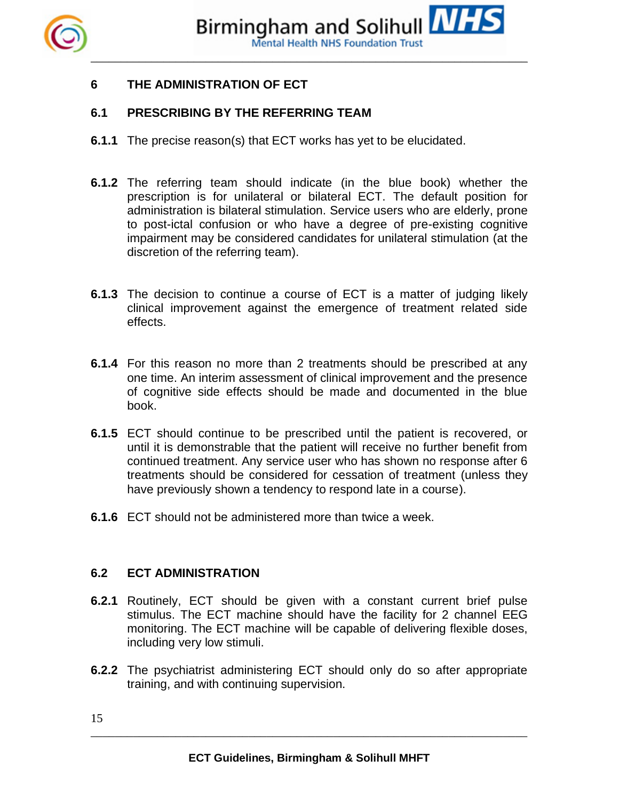

### **6 THE ADMINISTRATION OF ECT**

#### **6.1 PRESCRIBING BY THE REFERRING TEAM**

- **6.1.1** The precise reason(s) that ECT works has yet to be elucidated.
- **6.1.2** The referring team should indicate (in the blue book) whether the prescription is for unilateral or bilateral ECT. The default position for administration is bilateral stimulation. Service users who are elderly, prone to post-ictal confusion or who have a degree of pre-existing cognitive impairment may be considered candidates for unilateral stimulation (at the discretion of the referring team).
- **6.1.3** The decision to continue a course of ECT is a matter of judging likely clinical improvement against the emergence of treatment related side effects.
- **6.1.4** For this reason no more than 2 treatments should be prescribed at any one time. An interim assessment of clinical improvement and the presence of cognitive side effects should be made and documented in the blue book.
- **6.1.5** ECT should continue to be prescribed until the patient is recovered, or until it is demonstrable that the patient will receive no further benefit from continued treatment. Any service user who has shown no response after 6 treatments should be considered for cessation of treatment (unless they have previously shown a tendency to respond late in a course).
- **6.1.6** ECT should not be administered more than twice a week.

#### **6.2 ECT ADMINISTRATION**

- **6.2.1** Routinely, ECT should be given with a constant current brief pulse stimulus. The ECT machine should have the facility for 2 channel EEG monitoring. The ECT machine will be capable of delivering flexible doses, including very low stimuli.
- **6.2.2** The psychiatrist administering ECT should only do so after appropriate training, and with continuing supervision.

15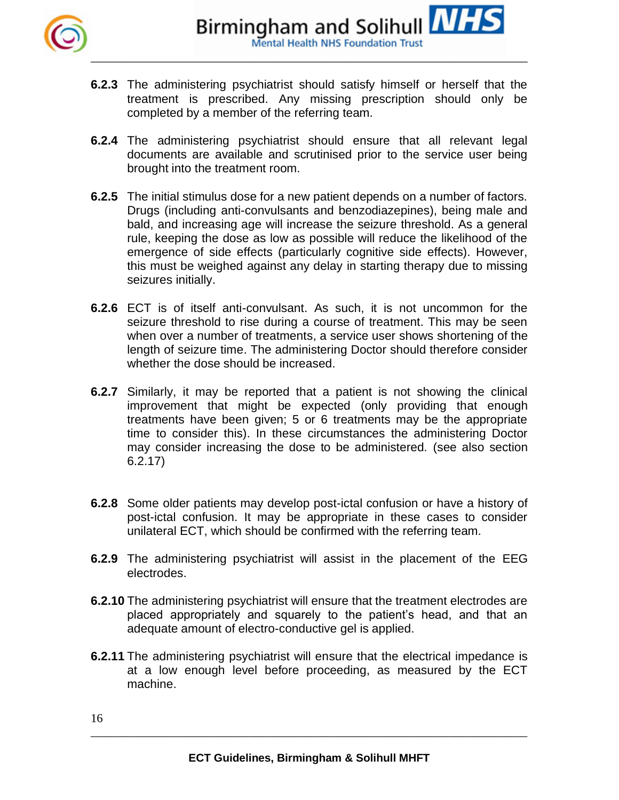

- **6.2.3** The administering psychiatrist should satisfy himself or herself that the treatment is prescribed. Any missing prescription should only be completed by a member of the referring team.
- **6.2.4** The administering psychiatrist should ensure that all relevant legal documents are available and scrutinised prior to the service user being brought into the treatment room.
- **6.2.5** The initial stimulus dose for a new patient depends on a number of factors. Drugs (including anti-convulsants and benzodiazepines), being male and bald, and increasing age will increase the seizure threshold. As a general rule, keeping the dose as low as possible will reduce the likelihood of the emergence of side effects (particularly cognitive side effects). However, this must be weighed against any delay in starting therapy due to missing seizures initially.
- **6.2.6** ECT is of itself anti-convulsant. As such, it is not uncommon for the seizure threshold to rise during a course of treatment. This may be seen when over a number of treatments, a service user shows shortening of the length of seizure time. The administering Doctor should therefore consider whether the dose should be increased.
- **6.2.7** Similarly, it may be reported that a patient is not showing the clinical improvement that might be expected (only providing that enough treatments have been given; 5 or 6 treatments may be the appropriate time to consider this). In these circumstances the administering Doctor may consider increasing the dose to be administered. (see also section 6.2.17)
- **6.2.8** Some older patients may develop post-ictal confusion or have a history of post-ictal confusion. It may be appropriate in these cases to consider unilateral ECT, which should be confirmed with the referring team.
- **6.2.9** The administering psychiatrist will assist in the placement of the EEG electrodes.
- **6.2.10** The administering psychiatrist will ensure that the treatment electrodes are placed appropriately and squarely to the patient's head, and that an adequate amount of electro-conductive gel is applied.
- **6.2.11** The administering psychiatrist will ensure that the electrical impedance is at a low enough level before proceeding, as measured by the ECT machine.

16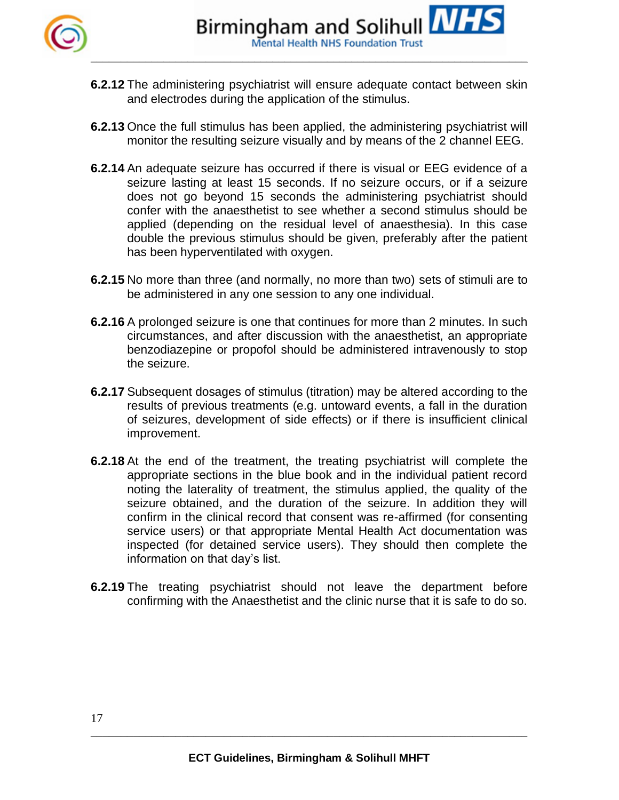

- **6.2.12** The administering psychiatrist will ensure adequate contact between skin and electrodes during the application of the stimulus.
- **6.2.13** Once the full stimulus has been applied, the administering psychiatrist will monitor the resulting seizure visually and by means of the 2 channel EEG.
- **6.2.14** An adequate seizure has occurred if there is visual or EEG evidence of a seizure lasting at least 15 seconds. If no seizure occurs, or if a seizure does not go beyond 15 seconds the administering psychiatrist should confer with the anaesthetist to see whether a second stimulus should be applied (depending on the residual level of anaesthesia). In this case double the previous stimulus should be given, preferably after the patient has been hyperventilated with oxygen.
- **6.2.15** No more than three (and normally, no more than two) sets of stimuli are to be administered in any one session to any one individual.
- **6.2.16** A prolonged seizure is one that continues for more than 2 minutes. In such circumstances, and after discussion with the anaesthetist, an appropriate benzodiazepine or propofol should be administered intravenously to stop the seizure.
- **6.2.17** Subsequent dosages of stimulus (titration) may be altered according to the results of previous treatments (e.g. untoward events, a fall in the duration of seizures, development of side effects) or if there is insufficient clinical improvement.
- **6.2.18** At the end of the treatment, the treating psychiatrist will complete the appropriate sections in the blue book and in the individual patient record noting the laterality of treatment, the stimulus applied, the quality of the seizure obtained, and the duration of the seizure. In addition they will confirm in the clinical record that consent was re-affirmed (for consenting service users) or that appropriate Mental Health Act documentation was inspected (for detained service users). They should then complete the information on that day's list.
- **6.2.19** The treating psychiatrist should not leave the department before confirming with the Anaesthetist and the clinic nurse that it is safe to do so.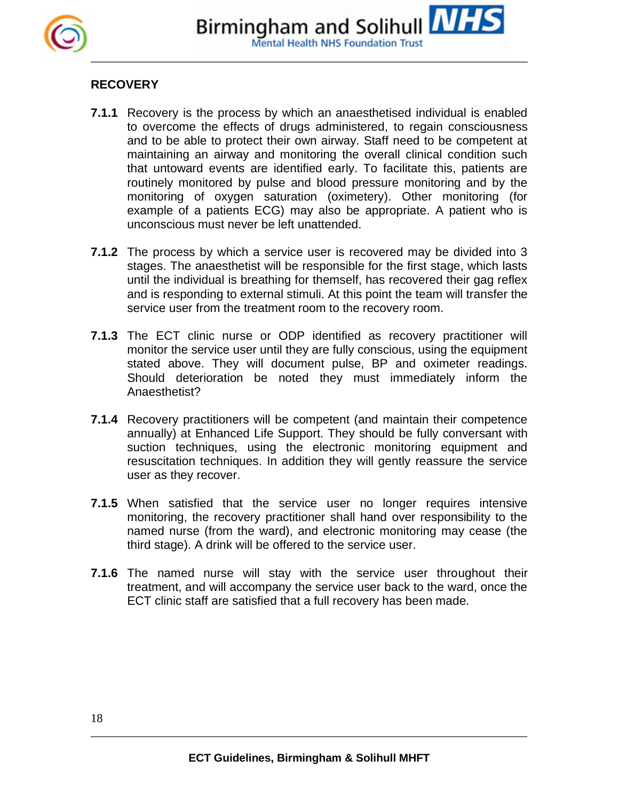

## **RECOVERY**

- **7.1.1** Recovery is the process by which an anaesthetised individual is enabled to overcome the effects of drugs administered, to regain consciousness and to be able to protect their own airway. Staff need to be competent at maintaining an airway and monitoring the overall clinical condition such that untoward events are identified early. To facilitate this, patients are routinely monitored by pulse and blood pressure monitoring and by the monitoring of oxygen saturation (oximetery). Other monitoring (for example of a patients ECG) may also be appropriate. A patient who is unconscious must never be left unattended.
- **7.1.2** The process by which a service user is recovered may be divided into 3 stages. The anaesthetist will be responsible for the first stage, which lasts until the individual is breathing for themself, has recovered their gag reflex and is responding to external stimuli. At this point the team will transfer the service user from the treatment room to the recovery room.
- **7.1.3** The ECT clinic nurse or ODP identified as recovery practitioner will monitor the service user until they are fully conscious, using the equipment stated above. They will document pulse, BP and oximeter readings. Should deterioration be noted they must immediately inform the Anaesthetist?
- **7.1.4** Recovery practitioners will be competent (and maintain their competence annually) at Enhanced Life Support. They should be fully conversant with suction techniques, using the electronic monitoring equipment and resuscitation techniques. In addition they will gently reassure the service user as they recover.
- **7.1.5** When satisfied that the service user no longer requires intensive monitoring, the recovery practitioner shall hand over responsibility to the named nurse (from the ward), and electronic monitoring may cease (the third stage). A drink will be offered to the service user.
- **7.1.6** The named nurse will stay with the service user throughout their treatment, and will accompany the service user back to the ward, once the ECT clinic staff are satisfied that a full recovery has been made.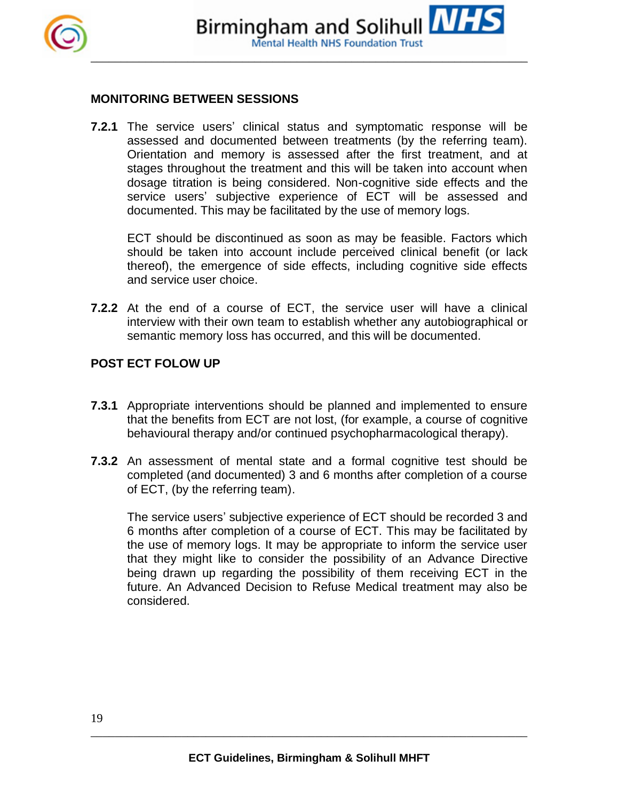

#### **MONITORING BETWEEN SESSIONS**

**7.2.1** The service users' clinical status and symptomatic response will be assessed and documented between treatments (by the referring team). Orientation and memory is assessed after the first treatment, and at stages throughout the treatment and this will be taken into account when dosage titration is being considered. Non-cognitive side effects and the service users' subjective experience of ECT will be assessed and documented. This may be facilitated by the use of memory logs.

ECT should be discontinued as soon as may be feasible. Factors which should be taken into account include perceived clinical benefit (or lack thereof), the emergence of side effects, including cognitive side effects and service user choice.

**7.2.2** At the end of a course of ECT, the service user will have a clinical interview with their own team to establish whether any autobiographical or semantic memory loss has occurred, and this will be documented.

### **POST ECT FOLOW UP**

- **7.3.1** Appropriate interventions should be planned and implemented to ensure that the benefits from ECT are not lost, (for example, a course of cognitive behavioural therapy and/or continued psychopharmacological therapy).
- **7.3.2** An assessment of mental state and a formal cognitive test should be completed (and documented) 3 and 6 months after completion of a course of ECT, (by the referring team).

The service users' subjective experience of ECT should be recorded 3 and 6 months after completion of a course of ECT. This may be facilitated by the use of memory logs. It may be appropriate to inform the service user that they might like to consider the possibility of an Advance Directive being drawn up regarding the possibility of them receiving ECT in the future. An Advanced Decision to Refuse Medical treatment may also be considered.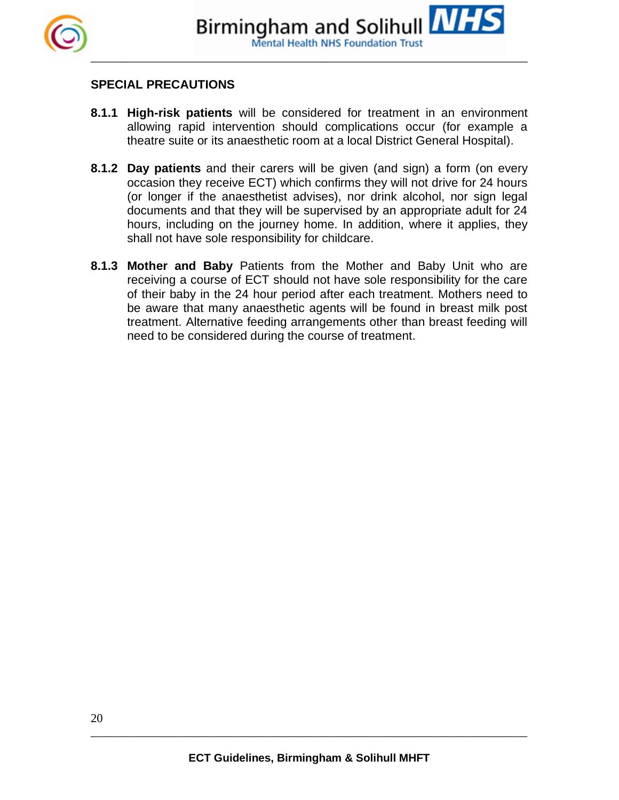

### **SPECIAL PRECAUTIONS**

- **8.1.1 High-risk patients** will be considered for treatment in an environment allowing rapid intervention should complications occur (for example a theatre suite or its anaesthetic room at a local District General Hospital).
- **8.1.2 Day patients** and their carers will be given (and sign) a form (on every occasion they receive ECT) which confirms they will not drive for 24 hours (or longer if the anaesthetist advises), nor drink alcohol, nor sign legal documents and that they will be supervised by an appropriate adult for 24 hours, including on the journey home. In addition, where it applies, they shall not have sole responsibility for childcare.
- **8.1.3 Mother and Baby** Patients from the Mother and Baby Unit who are receiving a course of ECT should not have sole responsibility for the care of their baby in the 24 hour period after each treatment. Mothers need to be aware that many anaesthetic agents will be found in breast milk post treatment. Alternative feeding arrangements other than breast feeding will need to be considered during the course of treatment.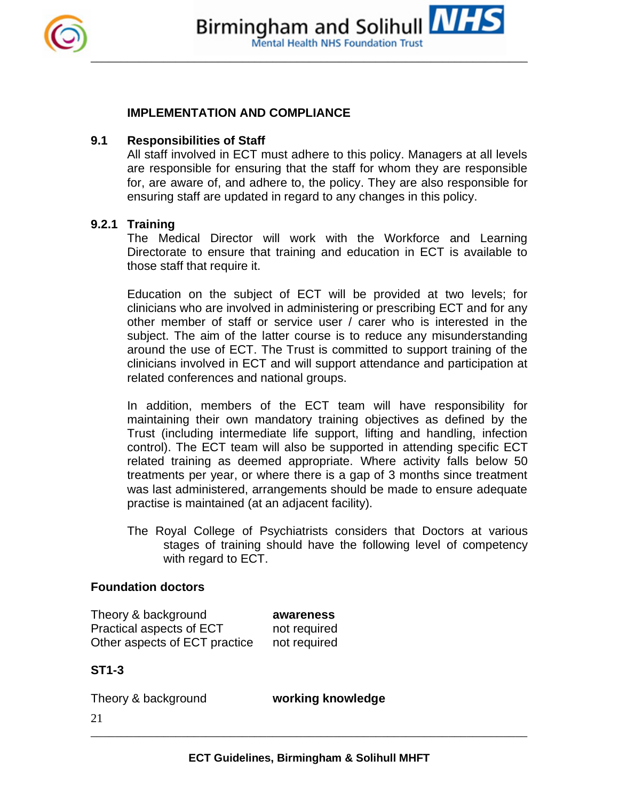

#### **IMPLEMENTATION AND COMPLIANCE**

#### **9.1 Responsibilities of Staff**

All staff involved in ECT must adhere to this policy. Managers at all levels are responsible for ensuring that the staff for whom they are responsible for, are aware of, and adhere to, the policy. They are also responsible for ensuring staff are updated in regard to any changes in this policy.

#### **9.2.1 Training**

The Medical Director will work with the Workforce and Learning Directorate to ensure that training and education in ECT is available to those staff that require it.

Education on the subject of ECT will be provided at two levels; for clinicians who are involved in administering or prescribing ECT and for any other member of staff or service user / carer who is interested in the subject. The aim of the latter course is to reduce any misunderstanding around the use of ECT. The Trust is committed to support training of the clinicians involved in ECT and will support attendance and participation at related conferences and national groups.

In addition, members of the ECT team will have responsibility for maintaining their own mandatory training objectives as defined by the Trust (including intermediate life support, lifting and handling, infection control). The ECT team will also be supported in attending specific ECT related training as deemed appropriate. Where activity falls below 50 treatments per year, or where there is a gap of 3 months since treatment was last administered, arrangements should be made to ensure adequate practise is maintained (at an adjacent facility).

The Royal College of Psychiatrists considers that Doctors at various stages of training should have the following level of competency with regard to ECT.

#### **Foundation doctors**

Theory & background **awareness**  Practical aspects of ECT not required Other aspects of ECT practice not required

#### **ST1-3**

Theory & background **working knowledge** 

21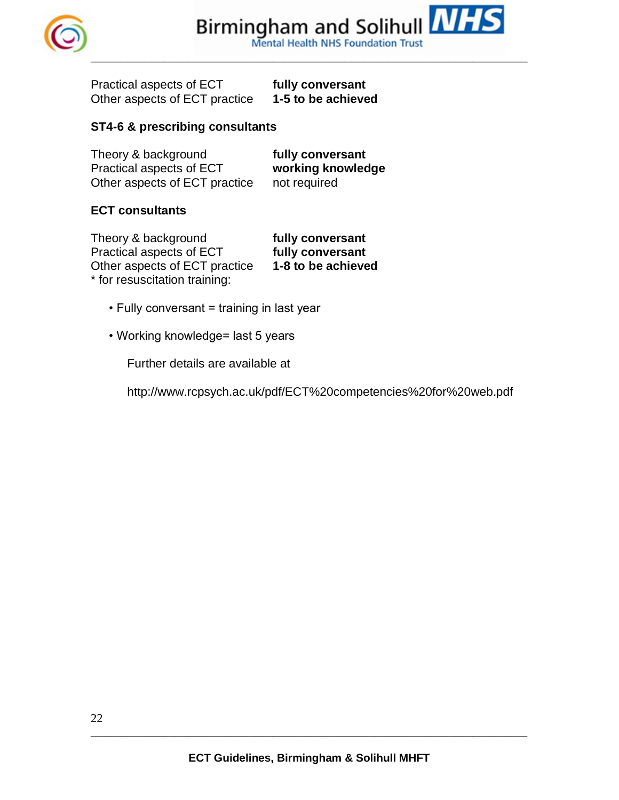

Practical aspects of ECT **fully conversant**  Other aspects of ECT practice **1-5 to be achieved** 

#### **ST4-6 & prescribing consultants**

| Theory & background           | fully conversant  |
|-------------------------------|-------------------|
| Practical aspects of ECT      | working knowledge |
| Other aspects of ECT practice | not required      |

#### **ECT consultants**

Theory & background **fully conversant**  Practical aspects of ECT **fully conversant**  Other aspects of ECT practice **1-8 to be achieved**  \* for resuscitation training:

- Fully conversant = training in last year
- Working knowledge= last 5 years

Further details are available at

http://www.rcpsych.ac.uk/pdf/ECT%20competencies%20for%20web.pdf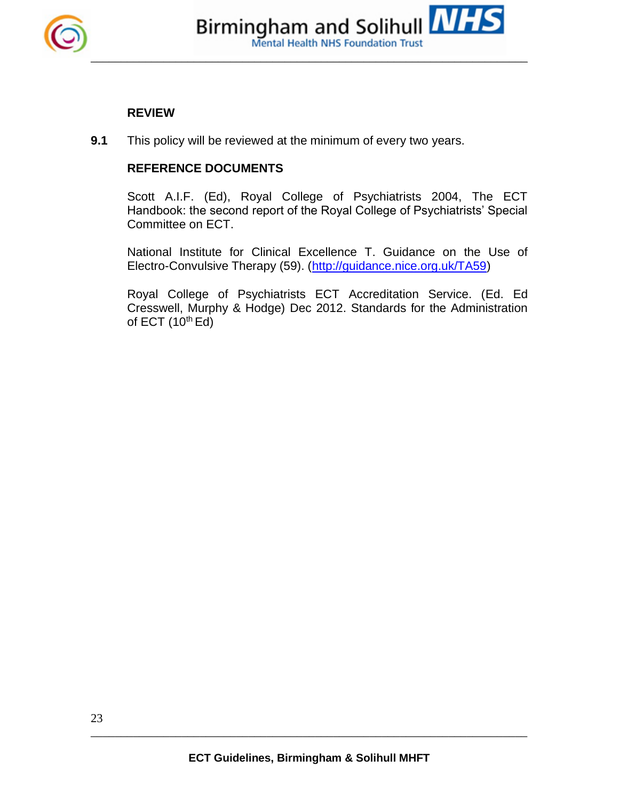

#### **REVIEW**

**9.1** This policy will be reviewed at the minimum of every two years.

#### **REFERENCE DOCUMENTS**

Scott A.I.F. (Ed), Royal College of Psychiatrists 2004, The ECT Handbook: the second report of the Royal College of Psychiatrists' Special Committee on ECT.

National Institute for Clinical Excellence T. Guidance on the Use of Electro-Convulsive Therapy (59). [\(http://guidance.nice.org.uk/TA59\)](http://guidance.nice.org.uk/TA59)

Royal College of Psychiatrists ECT Accreditation Service. (Ed. Ed Cresswell, Murphy & Hodge) Dec 2012. Standards for the Administration of ECT  $(10^{th}$  Ed)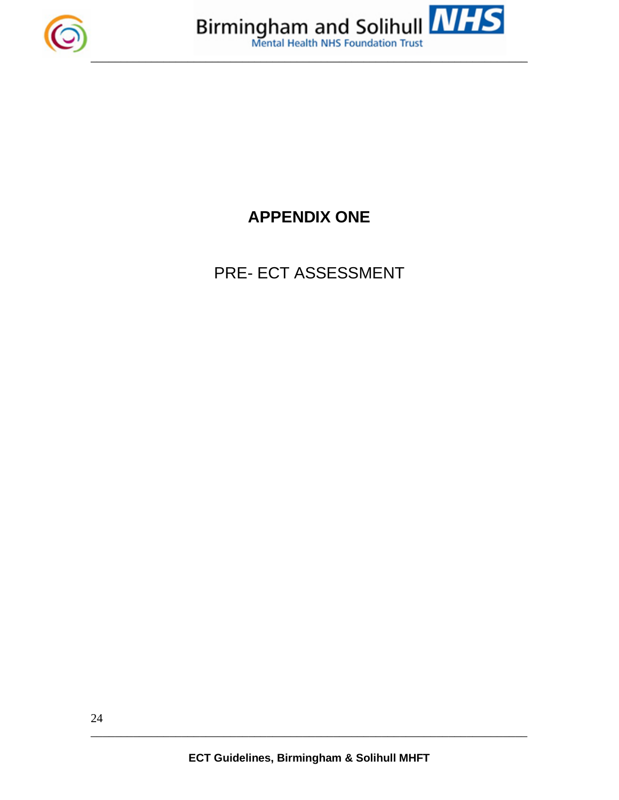



## **APPENDIX ONE**

PRE- ECT ASSESSMENT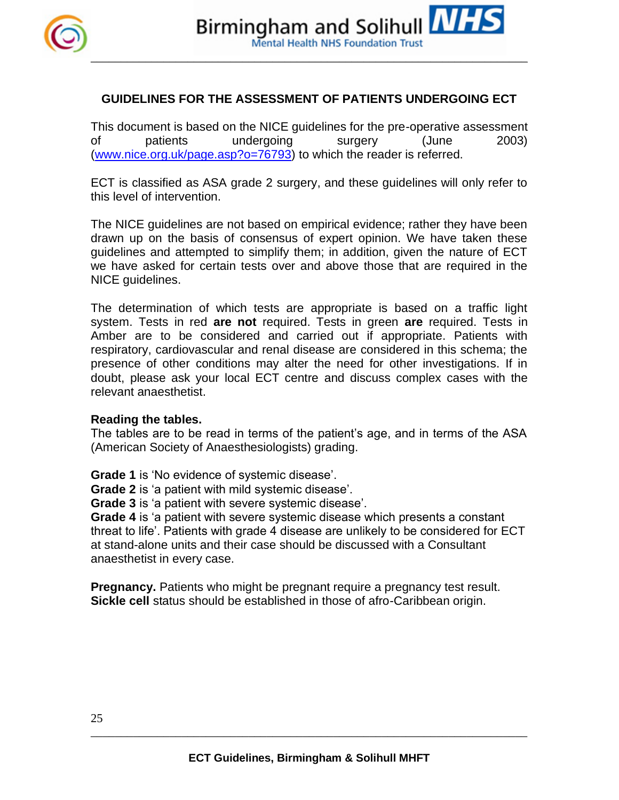

### **GUIDELINES FOR THE ASSESSMENT OF PATIENTS UNDERGOING ECT**

This document is based on the NICE guidelines for the pre-operative assessment of patients undergoing surgery (June 2003) [\(www.nice.org.uk/page.asp?o=76793\)](http://www.nice.org.uk/page.asp?o=76793) to which the reader is referred.

ECT is classified as ASA grade 2 surgery, and these guidelines will only refer to this level of intervention.

The NICE guidelines are not based on empirical evidence; rather they have been drawn up on the basis of consensus of expert opinion. We have taken these guidelines and attempted to simplify them; in addition, given the nature of ECT we have asked for certain tests over and above those that are required in the NICE guidelines.

The determination of which tests are appropriate is based on a traffic light system. Tests in red **are not** required. Tests in green **are** required. Tests in Amber are to be considered and carried out if appropriate. Patients with respiratory, cardiovascular and renal disease are considered in this schema; the presence of other conditions may alter the need for other investigations. If in doubt, please ask your local ECT centre and discuss complex cases with the relevant anaesthetist.

#### **Reading the tables.**

The tables are to be read in terms of the patient's age, and in terms of the ASA (American Society of Anaesthesiologists) grading.

**Grade 1** is 'No evidence of systemic disease'.

**Grade 2** is 'a patient with mild systemic disease'.

**Grade 3** is 'a patient with severe systemic disease'.

**Grade 4** is 'a patient with severe systemic disease which presents a constant threat to life'. Patients with grade 4 disease are unlikely to be considered for ECT at stand-alone units and their case should be discussed with a Consultant anaesthetist in every case.

**Pregnancy.** Patients who might be pregnant require a pregnancy test result. **Sickle cell** status should be established in those of afro-Caribbean origin.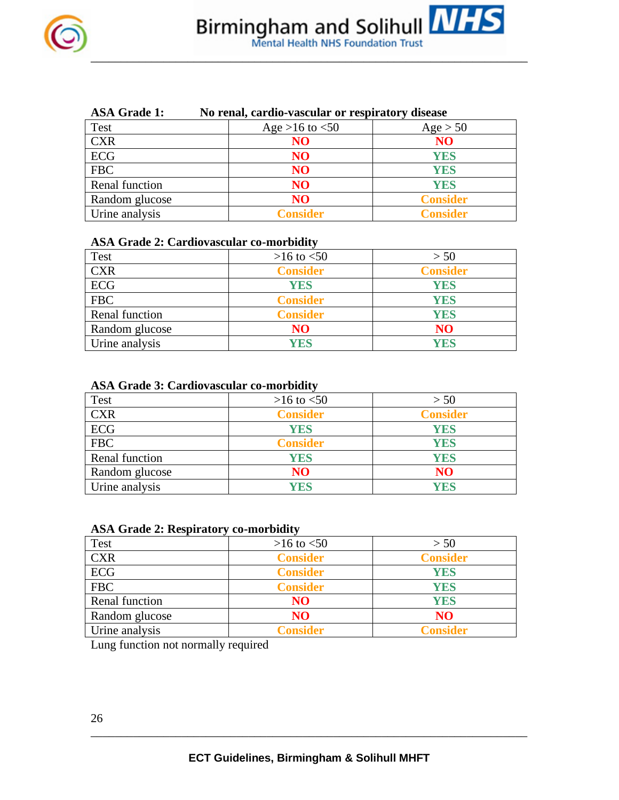

| <b>ASA Grade 1:</b><br>No renal, cardio-vascular or respiratory disease |                   |                 |
|-------------------------------------------------------------------------|-------------------|-----------------|
| Test                                                                    | Age > 16 to $<50$ | Age > 50        |
| <b>CXR</b>                                                              | N <sub>O</sub>    | N <sub>O</sub>  |
| ECG                                                                     | N <sub>O</sub>    | <b>YES</b>      |
| <b>FBC</b>                                                              | N <sub>O</sub>    | <b>YES</b>      |
| Renal function                                                          | NO <sub>1</sub>   | <b>YES</b>      |
| Random glucose                                                          | N <sub>O</sub>    | <b>Consider</b> |
| Urine analysis                                                          | <b>Consider</b>   | <b>Consider</b> |

#### **ASA Grade 1: No renal, cardio-vascular or respiratory disease**

#### **ASA Grade 2: Cardiovascular co-morbidity**

| Test           | $>16$ to $< 50$ | > 50            |
|----------------|-----------------|-----------------|
| <b>CXR</b>     | <b>Consider</b> | <b>Consider</b> |
| <b>ECG</b>     | <b>YES</b>      | <b>YES</b>      |
| <b>FBC</b>     | <b>Consider</b> | <b>YES</b>      |
| Renal function | <b>Consider</b> | <b>YES</b>      |
| Random glucose | NO              | NO              |
| Urine analysis | YES             | <b>YES</b>      |

#### **ASA Grade 3: Cardiovascular co-morbidity**

| <b>Test</b>    | $>16$ to $< 50$ | > 50            |
|----------------|-----------------|-----------------|
| <b>CXR</b>     | <b>Consider</b> | <b>Consider</b> |
| <b>ECG</b>     | <b>YES</b>      | <b>YES</b>      |
| <b>FBC</b>     | <b>Consider</b> | <b>YES</b>      |
| Renal function | <b>YES</b>      | <b>YES</b>      |
| Random glucose | NO              | NO              |
| Urine analysis | YES             | <b>YES</b>      |

#### **ASA Grade 2: Respiratory co-morbidity**

| Test           | $>16$ to $< 50$ | > 50            |
|----------------|-----------------|-----------------|
| <b>CXR</b>     | <b>Consider</b> | <b>Consider</b> |
| ECG            | <b>Consider</b> | <b>YES</b>      |
| <b>FBC</b>     | <b>Consider</b> | <b>YES</b>      |
| Renal function | NO              | <b>YES</b>      |
| Random glucose | N <sub>O</sub>  | NO.             |
| Urine analysis | <b>Consider</b> | <b>Consider</b> |

Lung function not normally required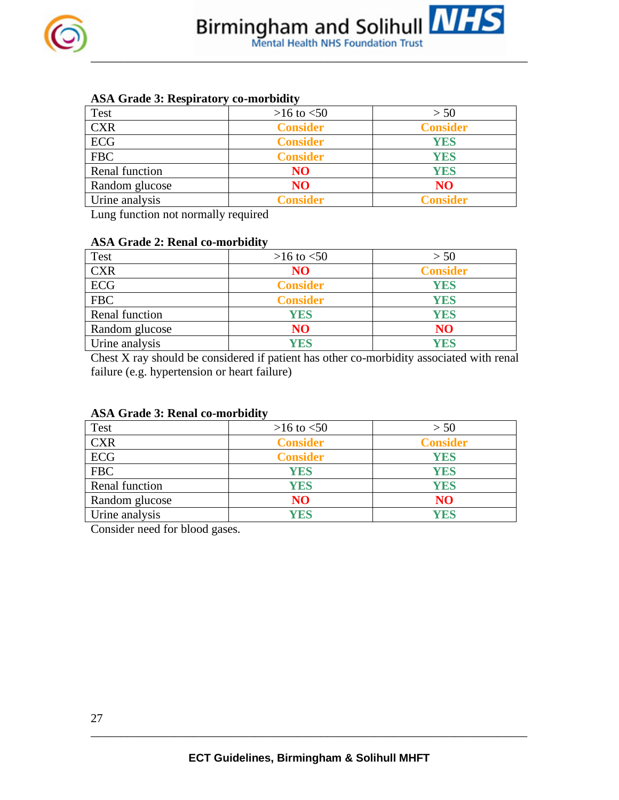

| Test           | $>16$ to $< 50$ | > 50            |
|----------------|-----------------|-----------------|
| <b>CXR</b>     | <b>Consider</b> | <b>Consider</b> |
| ECG            | <b>Consider</b> | <b>YES</b>      |
| <b>FBC</b>     | <b>Consider</b> | <b>YES</b>      |
| Renal function | NO              | <b>YES</b>      |
| Random glucose | NO              | N <sub>O</sub>  |
| Urine analysis | <b>Consider</b> | <b>Consider</b> |
|                |                 |                 |

#### **ASA Grade 3: Respiratory co-morbidity**

Lung function not normally required

#### **ASA Grade 2: Renal co-morbidity**

| Test           | $>16$ to $< 50$ | > 50            |
|----------------|-----------------|-----------------|
| <b>CXR</b>     | N <sub>O</sub>  | <b>Consider</b> |
| ECG            | <b>Consider</b> | <b>YES</b>      |
| <b>FBC</b>     | <b>Consider</b> | <b>YES</b>      |
| Renal function | <b>YES</b>      | <b>YES</b>      |
| Random glucose | NO              | NO              |
| Urine analysis | YES             | <b>YES</b>      |

Chest X ray should be considered if patient has other co-morbidity associated with renal failure (e.g. hypertension or heart failure)

| <i><b>HOIT OTHER OF INCHINE CO HIGH DIGIT!</b></i> |                 |                 |
|----------------------------------------------------|-----------------|-----------------|
| <b>Test</b>                                        | $>16$ to $< 50$ | > 50            |
| <b>CXR</b>                                         | <b>Consider</b> | <b>Consider</b> |
| ECG                                                | <b>Consider</b> | <b>YES</b>      |
| <b>FBC</b>                                         | <b>YES</b>      | <b>YES</b>      |
| Renal function                                     | <b>YES</b>      | <b>YES</b>      |
| Random glucose                                     | NO              | NO              |
| Urine analysis                                     | <b>YES</b>      | <b>YES</b>      |

#### **ASA Grade 3: Renal co-morbidity**

Consider need for blood gases.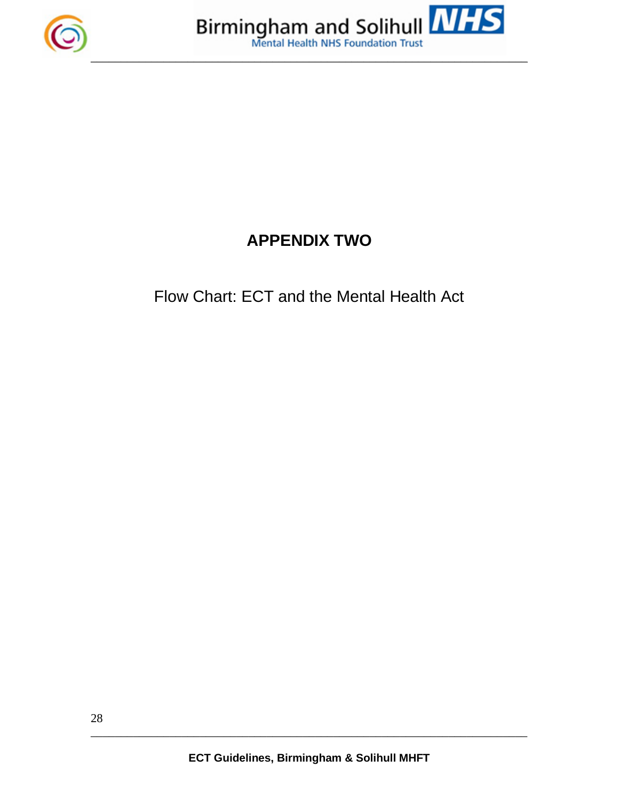



# **APPENDIX TWO**

Flow Chart: ECT and the Mental Health Act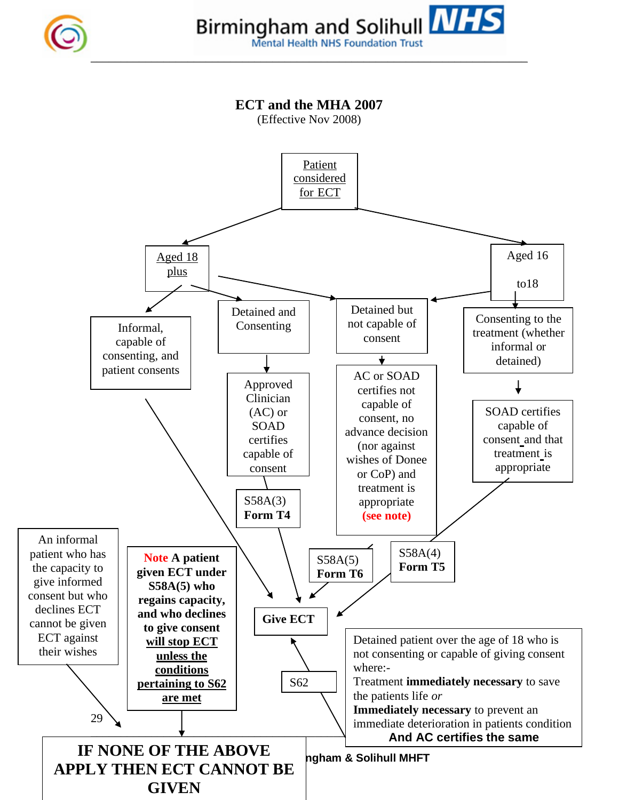

## **ECT and the MHA 2007**



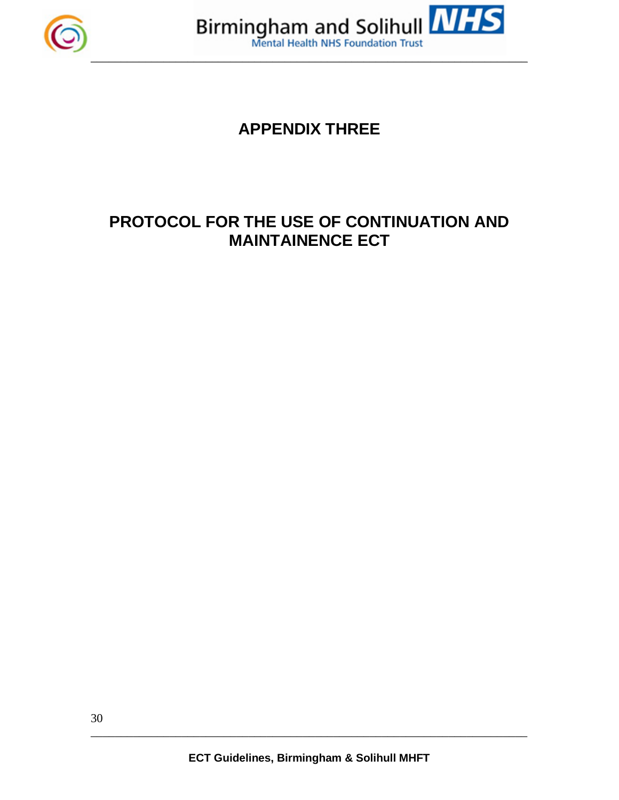



# **APPENDIX THREE**

## **PROTOCOL FOR THE USE OF CONTINUATION AND MAINTAINENCE ECT**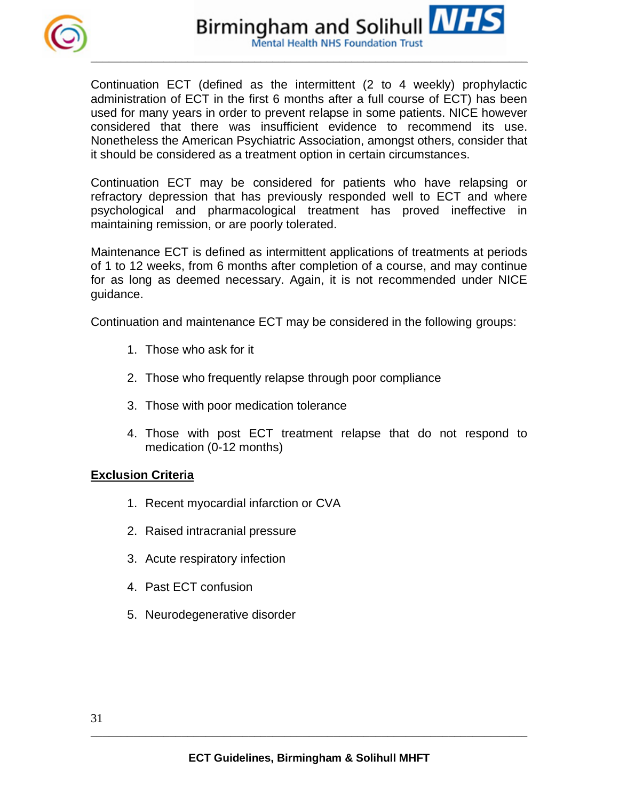



Continuation ECT (defined as the intermittent (2 to 4 weekly) prophylactic administration of ECT in the first 6 months after a full course of ECT) has been used for many years in order to prevent relapse in some patients. NICE however considered that there was insufficient evidence to recommend its use. Nonetheless the American Psychiatric Association, amongst others, consider that it should be considered as a treatment option in certain circumstances.

Continuation ECT may be considered for patients who have relapsing or refractory depression that has previously responded well to ECT and where psychological and pharmacological treatment has proved ineffective in maintaining remission, or are poorly tolerated.

Maintenance ECT is defined as intermittent applications of treatments at periods of 1 to 12 weeks, from 6 months after completion of a course, and may continue for as long as deemed necessary. Again, it is not recommended under NICE guidance.

Continuation and maintenance ECT may be considered in the following groups:

- 1. Those who ask for it
- 2. Those who frequently relapse through poor compliance
- 3. Those with poor medication tolerance
- 4. Those with post ECT treatment relapse that do not respond to medication (0-12 months)

#### **Exclusion Criteria**

- 1. Recent myocardial infarction or CVA
- 2. Raised intracranial pressure
- 3. Acute respiratory infection
- 4. Past ECT confusion
- 5. Neurodegenerative disorder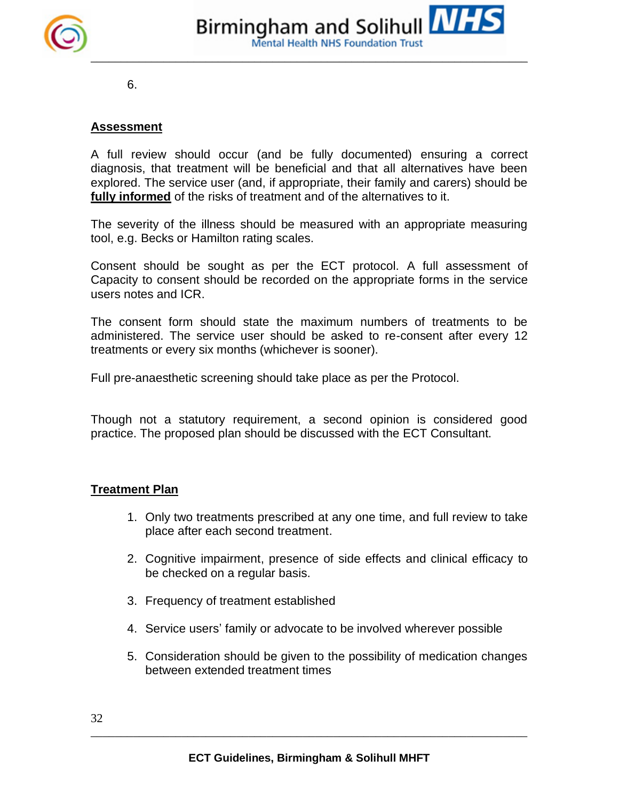

6.

#### **Assessment**

A full review should occur (and be fully documented) ensuring a correct diagnosis, that treatment will be beneficial and that all alternatives have been explored. The service user (and, if appropriate, their family and carers) should be **fully informed** of the risks of treatment and of the alternatives to it.

The severity of the illness should be measured with an appropriate measuring tool, e.g. Becks or Hamilton rating scales.

Consent should be sought as per the ECT protocol. A full assessment of Capacity to consent should be recorded on the appropriate forms in the service users notes and ICR.

The consent form should state the maximum numbers of treatments to be administered. The service user should be asked to re-consent after every 12 treatments or every six months (whichever is sooner).

Full pre-anaesthetic screening should take place as per the Protocol.

Though not a statutory requirement, a second opinion is considered good practice. The proposed plan should be discussed with the ECT Consultant.

#### **Treatment Plan**

- 1. Only two treatments prescribed at any one time, and full review to take place after each second treatment.
- 2. Cognitive impairment, presence of side effects and clinical efficacy to be checked on a regular basis.
- 3. Frequency of treatment established
- 4. Service users' family or advocate to be involved wherever possible
- 5. Consideration should be given to the possibility of medication changes between extended treatment times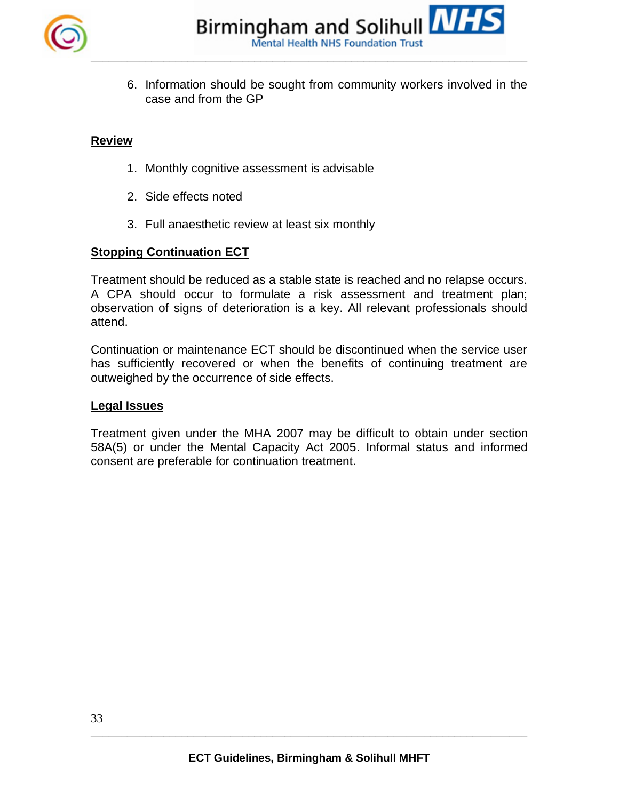

6. Information should be sought from community workers involved in the case and from the GP

#### **Review**

- 1. Monthly cognitive assessment is advisable
- 2. Side effects noted
- 3. Full anaesthetic review at least six monthly

#### **Stopping Continuation ECT**

Treatment should be reduced as a stable state is reached and no relapse occurs. A CPA should occur to formulate a risk assessment and treatment plan; observation of signs of deterioration is a key. All relevant professionals should attend.

Continuation or maintenance ECT should be discontinued when the service user has sufficiently recovered or when the benefits of continuing treatment are outweighed by the occurrence of side effects.

#### **Legal Issues**

Treatment given under the MHA 2007 may be difficult to obtain under section 58A(5) or under the Mental Capacity Act 2005. Informal status and informed consent are preferable for continuation treatment.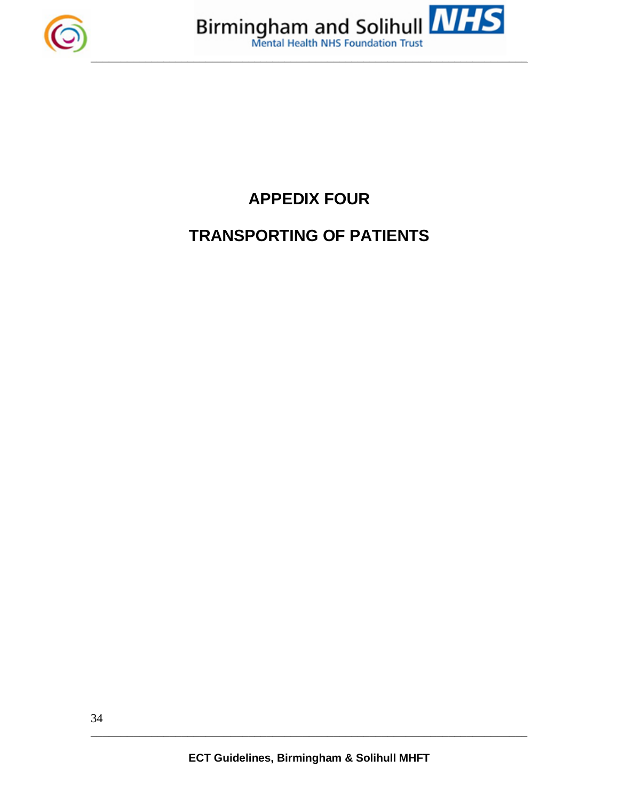



# **APPEDIX FOUR**

# **TRANSPORTING OF PATIENTS**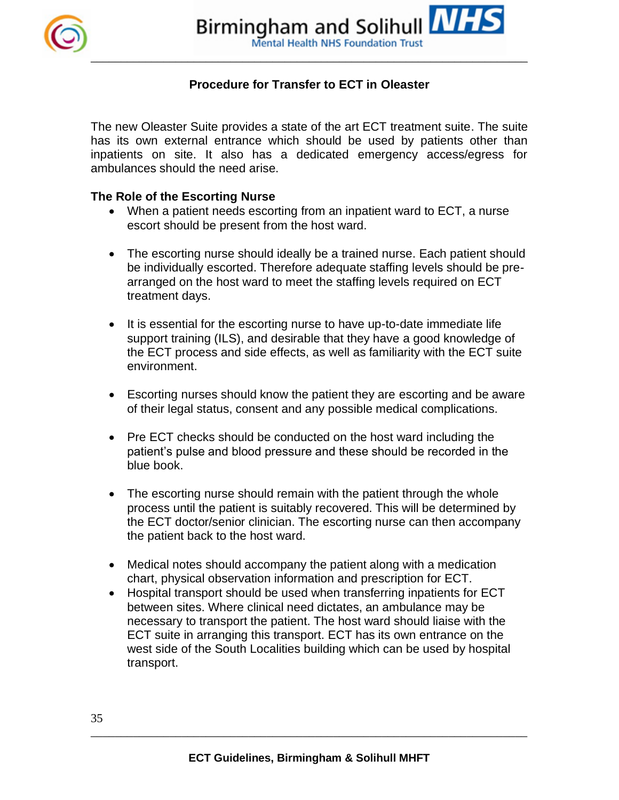

### **Procedure for Transfer to ECT in Oleaster**

The new Oleaster Suite provides a state of the art ECT treatment suite. The suite has its own external entrance which should be used by patients other than inpatients on site. It also has a dedicated emergency access/egress for ambulances should the need arise.

#### **The Role of the Escorting Nurse**

- When a patient needs escorting from an inpatient ward to ECT, a nurse escort should be present from the host ward.
- The escorting nurse should ideally be a trained nurse. Each patient should be individually escorted. Therefore adequate staffing levels should be prearranged on the host ward to meet the staffing levels required on ECT treatment days.
- It is essential for the escorting nurse to have up-to-date immediate life support training (ILS), and desirable that they have a good knowledge of the ECT process and side effects, as well as familiarity with the ECT suite environment.
- Escorting nurses should know the patient they are escorting and be aware of their legal status, consent and any possible medical complications.
- Pre ECT checks should be conducted on the host ward including the patient's pulse and blood pressure and these should be recorded in the blue book.
- The escorting nurse should remain with the patient through the whole process until the patient is suitably recovered. This will be determined by the ECT doctor/senior clinician. The escorting nurse can then accompany the patient back to the host ward.
- Medical notes should accompany the patient along with a medication chart, physical observation information and prescription for ECT.
- Hospital transport should be used when transferring inpatients for ECT between sites. Where clinical need dictates, an ambulance may be necessary to transport the patient. The host ward should liaise with the ECT suite in arranging this transport. ECT has its own entrance on the west side of the South Localities building which can be used by hospital transport.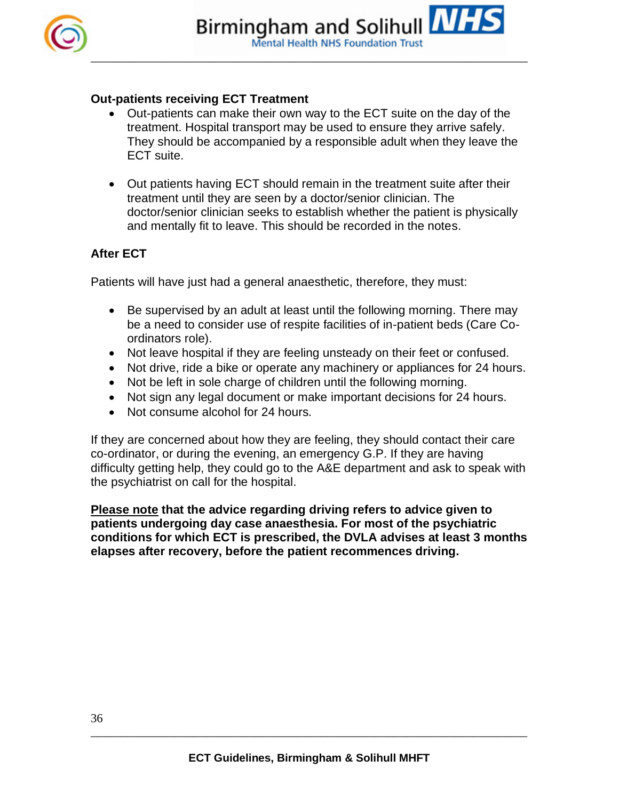

### **Out-patients receiving ECT Treatment**

- Out-patients can make their own way to the ECT suite on the day of the treatment. Hospital transport may be used to ensure they arrive safely. They should be accompanied by a responsible adult when they leave the ECT suite.
- Out patients having ECT should remain in the treatment suite after their treatment until they are seen by a doctor/senior clinician. The doctor/senior clinician seeks to establish whether the patient is physically and mentally fit to leave. This should be recorded in the notes.

## **After ECT**

Patients will have just had a general anaesthetic, therefore, they must:

- Be supervised by an adult at least until the following morning. There may be a need to consider use of respite facilities of in-patient beds (Care Coordinators role).
- Not leave hospital if they are feeling unsteady on their feet or confused.
- Not drive, ride a bike or operate any machinery or appliances for 24 hours.
- Not be left in sole charge of children until the following morning.
- Not sign any legal document or make important decisions for 24 hours.
- Not consume alcohol for 24 hours.

If they are concerned about how they are feeling, they should contact their care co-ordinator, or during the evening, an emergency G.P. If they are having difficulty getting help, they could go to the A&E department and ask to speak with the psychiatrist on call for the hospital.

**Please note that the advice regarding driving refers to advice given to patients undergoing day case anaesthesia. For most of the psychiatric conditions for which ECT is prescribed, the DVLA advises at least 3 months elapses after recovery, before the patient recommences driving.**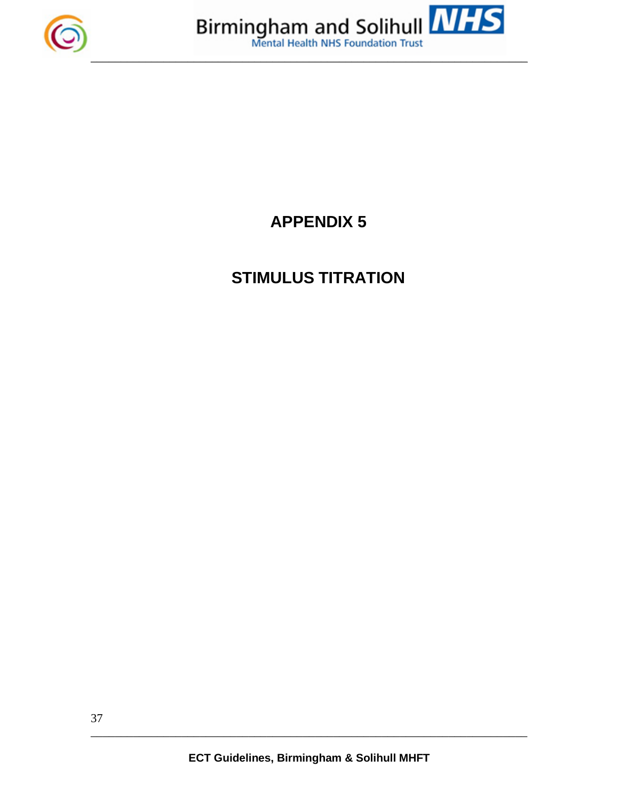



## **APPENDIX 5**

# **STIMULUS TITRATION**